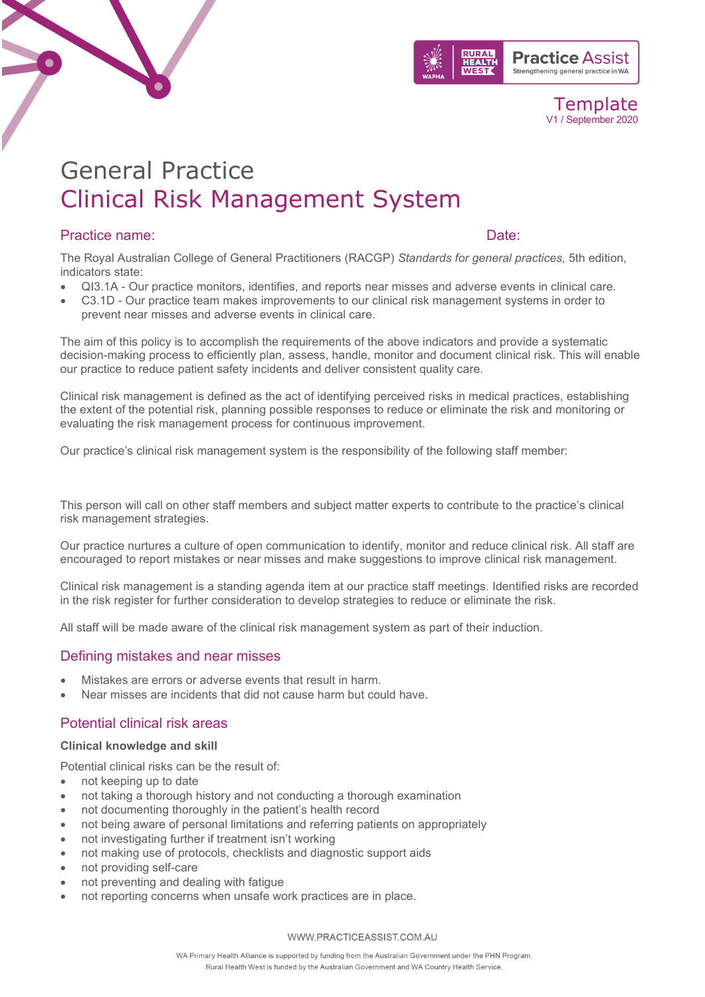

# General Practice Clinical Risk Management System

# Practice name:  $\Box$  Date:  $\Box$

The Royal Australian College of General Practitioners (RACGP) *Standards for general practices,* 5th edition, indicators state:

- QI3.1A Our practice monitors, identifies, and reports near misses and adverse events in clinical care.
- C3.1D Our practice team makes improvements to our clinical risk management systems in order to prevent near misses and adverse events in clinical care.

The aim of this policy is to accomplish the requirements of the above indicators and provide a systematic decision-making process to efficiently plan, assess, handle, monitor and document clinical risk. This will enable our practice to reduce patient safety incidents and deliver consistent quality care.

Clinical risk management is defined as the act of identifying perceived risks in medical practices, establishing the extent of the potential risk, planning possible responses to reduce or eliminate the risk and monitoring or evaluating the risk management process for continuous improvement.

Our practice's clinical risk management system is the responsibility of the following staff member:

This person will call on other staff members and subject matter experts to contribute to the practice's clinical risk management strategies.

Our practice nurtures a culture of open communication to identify, monitor and reduce clinical risk. All staff are encouraged to report mistakes or near misses and make suggestions to improve clinical risk management.

Clinical risk management is a standing agenda item at our practice staff meetings. Identified risks are recorded in the risk register for further consideration to develop strategies to reduce or eliminate the risk.

All staff will be made aware of the clinical risk management system as part of their induction.

# Defining mistakes and near misses

- Mistakes are errors or adverse events that result in harm.
- Near misses are incidents that did not cause harm but could have.

# Potential clinical risk areas

### **Clinical knowledge and skill**

Potential clinical risks can be the result of:

- not keeping up to date
- not taking a thorough history and not conducting a thorough examination
- not documenting thoroughly in the patient's health record
- not being aware of personal limitations and referring patients on appropriately
- not investigating further if treatment isn't working
- not making use of protocols, checklists and diagnostic support aids
- not providing self-care
- not preventing and dealing with fatigue
- not reporting concerns when unsafe work practices are in place.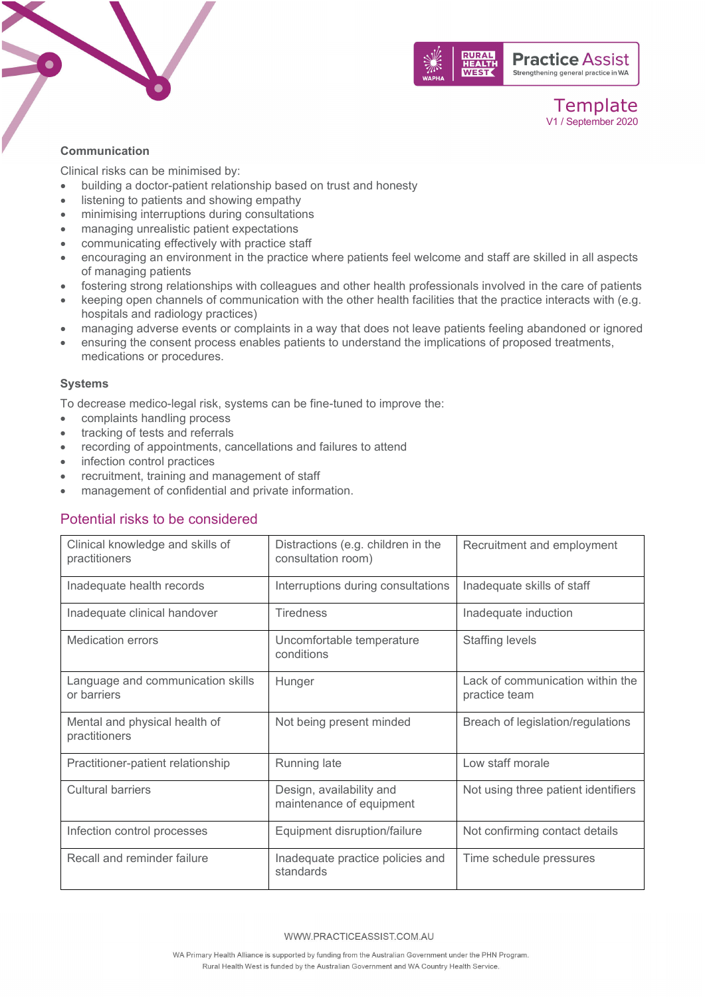



### **Communication**

Clinical risks can be minimised by:

- building a doctor-patient relationship based on trust and honesty
- listening to patients and showing empathy
- minimising interruptions during consultations
- managing unrealistic patient expectations
- communicating effectively with practice staff
- encouraging an environment in the practice where patients feel welcome and staff are skilled in all aspects of managing patients
- fostering strong relationships with colleagues and other health professionals involved in the care of patients
- keeping open channels of communication with the other health facilities that the practice interacts with (e.g. hospitals and radiology practices)
- managing adverse events or complaints in a way that does not leave patients feeling abandoned or ignored
- ensuring the consent process enables patients to understand the implications of proposed treatments, medications or procedures.

### **Systems**

To decrease medico-legal risk, systems can be fine-tuned to improve the:

- complaints handling process
- tracking of tests and referrals
- recording of appointments, cancellations and failures to attend
- infection control practices
- recruitment, training and management of staff
- management of confidential and private information.

# Potential risks to be considered

| Clinical knowledge and skills of<br>practitioners | Distractions (e.g. children in the<br>consultation room) | Recruitment and employment                        |
|---------------------------------------------------|----------------------------------------------------------|---------------------------------------------------|
| Inadequate health records                         | Interruptions during consultations                       | Inadequate skills of staff                        |
| Inadequate clinical handover                      | <b>Tiredness</b>                                         | Inadequate induction                              |
| <b>Medication errors</b>                          | Uncomfortable temperature<br>conditions                  | <b>Staffing levels</b>                            |
| Language and communication skills<br>or barriers  | Hunger                                                   | Lack of communication within the<br>practice team |
| Mental and physical health of<br>practitioners    | Not being present minded                                 | Breach of legislation/regulations                 |
| Practitioner-patient relationship                 | Running late                                             | Low staff morale                                  |
| <b>Cultural barriers</b>                          | Design, availability and<br>maintenance of equipment     | Not using three patient identifiers               |
| Infection control processes                       | Equipment disruption/failure                             | Not confirming contact details                    |
| Recall and reminder failure                       | Inadequate practice policies and<br>standards            | Time schedule pressures                           |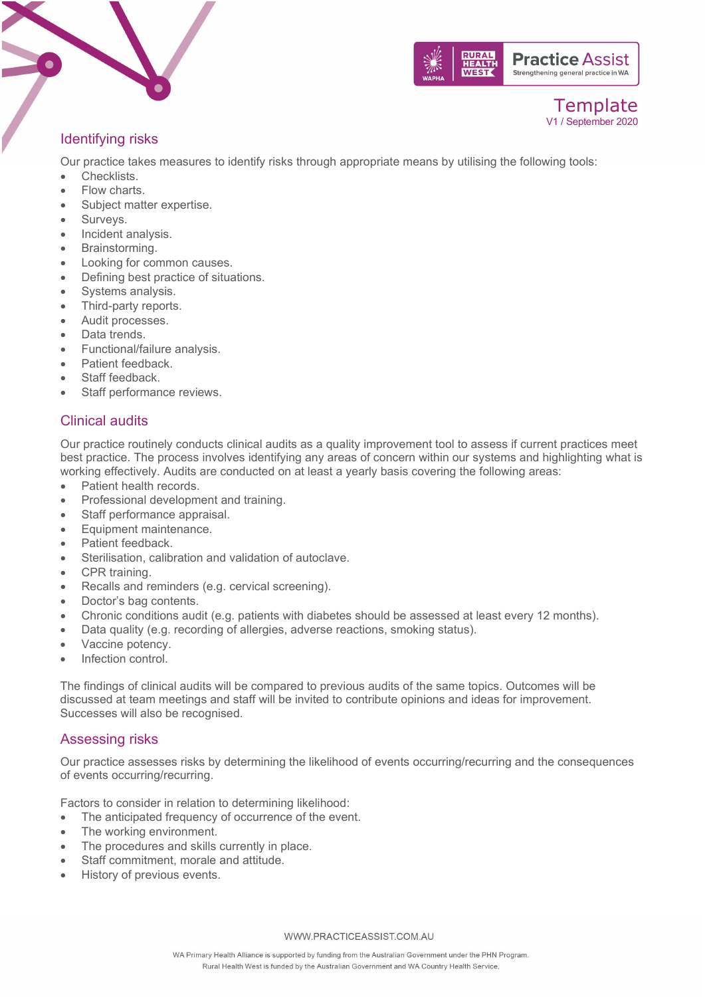





# Identifying risks

Our practice takes measures to identify risks through appropriate means by utilising the following tools:

- Checklists.
- Flow charts.
- Subject matter expertise.
- Surveys.
- Incident analysis.
- Brainstorming.
- Looking for common causes.
- Defining best practice of situations.
- Systems analysis.
- Third-party reports.
- Audit processes.
- Data trends.
- Functional/failure analysis.
- Patient feedback.
- Staff feedback.
- Staff performance reviews.

# Clinical audits

Our practice routinely conducts clinical audits as a quality improvement tool to assess if current practices meet best practice. The process involves identifying any areas of concern within our systems and highlighting what is working effectively. Audits are conducted on at least a yearly basis covering the following areas:

- Patient health records.
- Professional development and training.
- Staff performance appraisal.
- Equipment maintenance.
- Patient feedback.
- Sterilisation, calibration and validation of autoclave.
- CPR training.
- Recalls and reminders (e.g. cervical screening).
- Doctor's bag contents.
- Chronic conditions audit (e.g. patients with diabetes should be assessed at least every 12 months).
- Data quality (e.g. recording of allergies, adverse reactions, smoking status).
- Vaccine potency.
- Infection control.

The findings of clinical audits will be compared to previous audits of the same topics. Outcomes will be discussed at team meetings and staff will be invited to contribute opinions and ideas for improvement. Successes will also be recognised.

# Assessing risks

Our practice assesses risks by determining the likelihood of events occurring/recurring and the consequences of events occurring/recurring.

Factors to consider in relation to determining likelihood:

- The anticipated frequency of occurrence of the event.
- The working environment.
- The procedures and skills currently in place.
- Staff commitment, morale and attitude.
- History of previous events.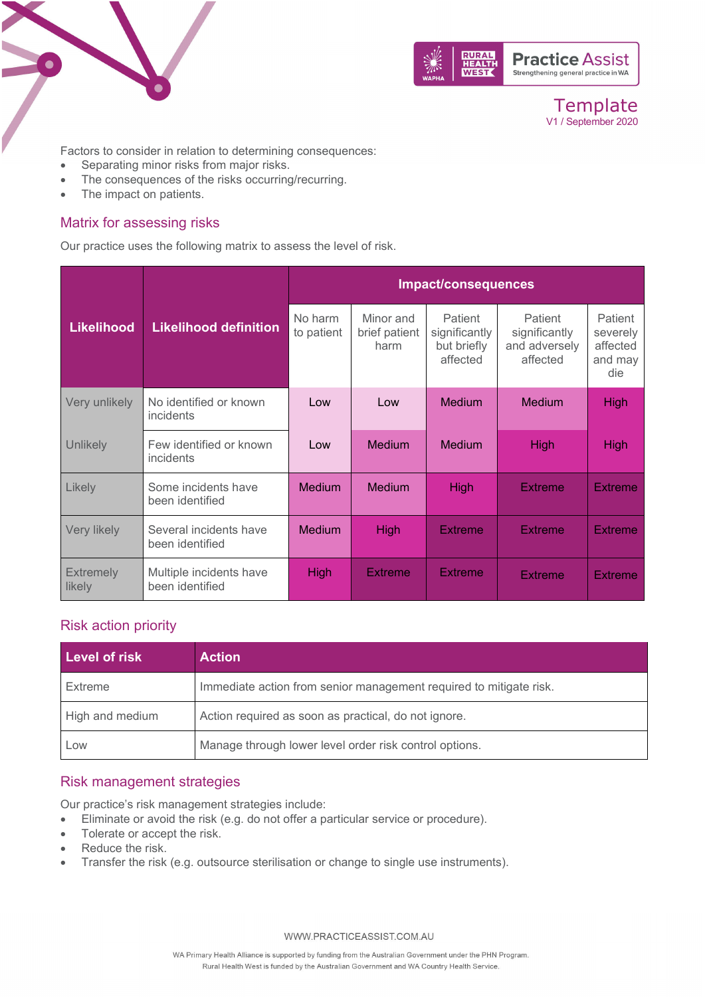



Factors to consider in relation to determining consequences:

- Separating minor risks from major risks.
- The consequences of the risks occurring/recurring.
- The impact on patients.

# Matrix for assessing risks

Our practice uses the following matrix to assess the level of risk.

|                            |                                            | Impact/consequences   |                                    |                                                     |                                                       |                                                   |
|----------------------------|--------------------------------------------|-----------------------|------------------------------------|-----------------------------------------------------|-------------------------------------------------------|---------------------------------------------------|
| <b>Likelihood</b>          | <b>Likelihood definition</b>               | No harm<br>to patient | Minor and<br>brief patient<br>harm | Patient<br>significantly<br>but briefly<br>affected | Patient<br>significantly<br>and adversely<br>affected | Patient<br>severely<br>affected<br>and may<br>die |
| Very unlikely              | No identified or known<br>incidents        | Low                   | Low                                | <b>Medium</b>                                       | <b>Medium</b>                                         | <b>High</b>                                       |
| <b>Unlikely</b>            | Few identified or known<br>incidents       | Low                   | Medium                             | <b>Medium</b>                                       | <b>High</b>                                           | <b>High</b>                                       |
| Likely                     | Some incidents have<br>been identified     | <b>Medium</b>         | <b>Medium</b>                      | <b>High</b>                                         | <b>Extreme</b>                                        | Extreme                                           |
| Very likely                | Several incidents have<br>been identified  | <b>Medium</b>         | High                               | <b>Extreme</b>                                      | <b>Extreme</b>                                        | <b>Extreme</b>                                    |
| <b>Extremely</b><br>likely | Multiple incidents have<br>been identified | <b>High</b>           | <b>Extreme</b>                     | <b>Extreme</b>                                      | <b>Extreme</b>                                        | <b>Extreme</b>                                    |

# Risk action priority

| Level of risk   | <b>Action</b>                                                      |
|-----------------|--------------------------------------------------------------------|
| Extreme         | Immediate action from senior management required to mitigate risk. |
| High and medium | Action required as soon as practical, do not ignore.               |
| Low             | Manage through lower level order risk control options.             |

# Risk management strategies

Our practice's risk management strategies include:

- Eliminate or avoid the risk (e.g. do not offer a particular service or procedure).
- Tolerate or accept the risk.
- Reduce the risk.
- Transfer the risk (e.g. outsource sterilisation or change to single use instruments).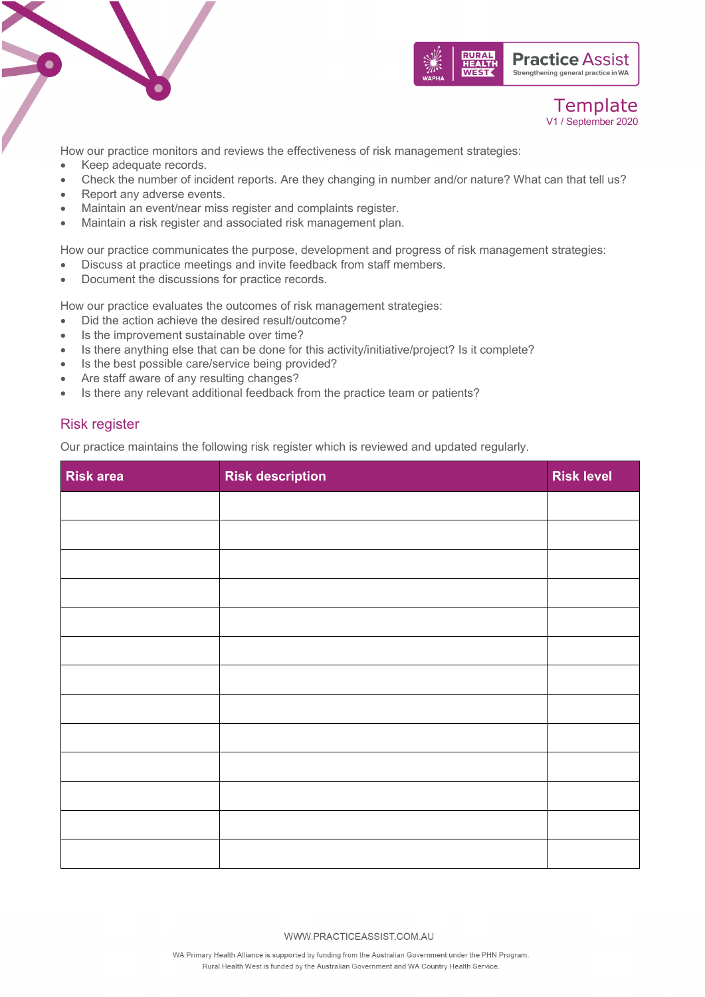





How our practice monitors and reviews the effectiveness of risk management strategies:

- Keep adequate records.
- Check the number of incident reports. Are they changing in number and/or nature? What can that tell us?
- Report any adverse events.
- Maintain an event/near miss register and complaints register.
- Maintain a risk register and associated risk management plan.

How our practice communicates the purpose, development and progress of risk management strategies:

- Discuss at practice meetings and invite feedback from staff members.
- Document the discussions for practice records.

How our practice evaluates the outcomes of risk management strategies:

- Did the action achieve the desired result/outcome?
- Is the improvement sustainable over time?
- Is there anything else that can be done for this activity/initiative/project? Is it complete?
- Is the best possible care/service being provided?
- Are staff aware of any resulting changes?
- Is there any relevant additional feedback from the practice team or patients?

# Risk register

Our practice maintains the following risk register which is reviewed and updated regularly.

| <b>Risk area</b> | <b>Risk description</b> | <b>Risk level</b> |
|------------------|-------------------------|-------------------|
|                  |                         |                   |
|                  |                         |                   |
|                  |                         |                   |
|                  |                         |                   |
|                  |                         |                   |
|                  |                         |                   |
|                  |                         |                   |
|                  |                         |                   |
|                  |                         |                   |
|                  |                         |                   |
|                  |                         |                   |
|                  |                         |                   |
|                  |                         |                   |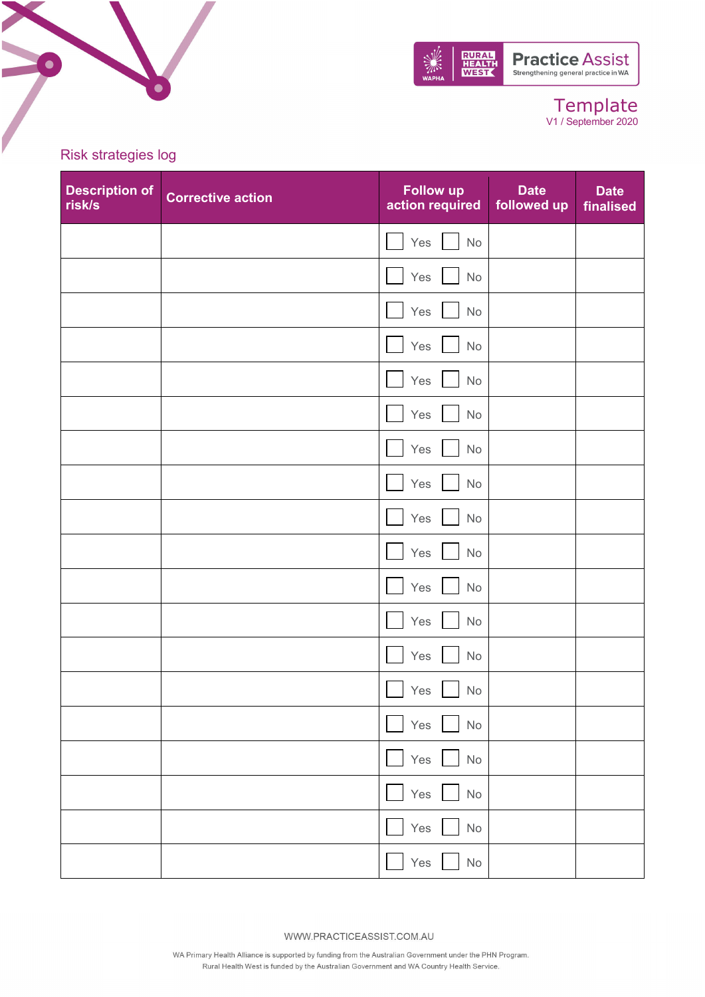

Risk strategies log

 $\bullet$ 

| <b>Description of</b><br>risk/s | <b>Corrective action</b> | <b>Follow up</b><br>action required | <b>Date</b><br>followed up | <b>Date</b><br>finalised |
|---------------------------------|--------------------------|-------------------------------------|----------------------------|--------------------------|
|                                 |                          | Yes<br>$\mathsf{No}$                |                            |                          |
|                                 |                          | Yes<br>$\mathsf{No}$                |                            |                          |
|                                 |                          | Yes<br>$\mathsf{No}$                |                            |                          |
|                                 |                          | Yes<br>$\mathsf{No}$                |                            |                          |
|                                 |                          | Yes<br>$\mathsf{No}$                |                            |                          |
|                                 |                          | Yes<br>No                           |                            |                          |
|                                 |                          | Yes<br>No                           |                            |                          |
|                                 |                          | Yes<br>No                           |                            |                          |
|                                 |                          | Yes<br>$\mathsf{No}$                |                            |                          |
|                                 |                          | Yes<br>$\mathsf{No}$                |                            |                          |
|                                 |                          | Yes<br>$\mathsf{No}$                |                            |                          |
|                                 |                          | Yes<br>No                           |                            |                          |
|                                 |                          | Yes<br>No                           |                            |                          |
|                                 |                          | Yes<br>No                           |                            |                          |
|                                 |                          | Yes<br>$\operatorname{\mathsf{No}}$ |                            |                          |
|                                 |                          | Yes<br>$\operatorname{\mathsf{No}}$ |                            |                          |
|                                 |                          | Yes<br>No                           |                            |                          |
|                                 |                          | Yes<br>$\operatorname{\mathsf{No}}$ |                            |                          |
|                                 |                          | Yes<br>$\mathsf{No}$                |                            |                          |